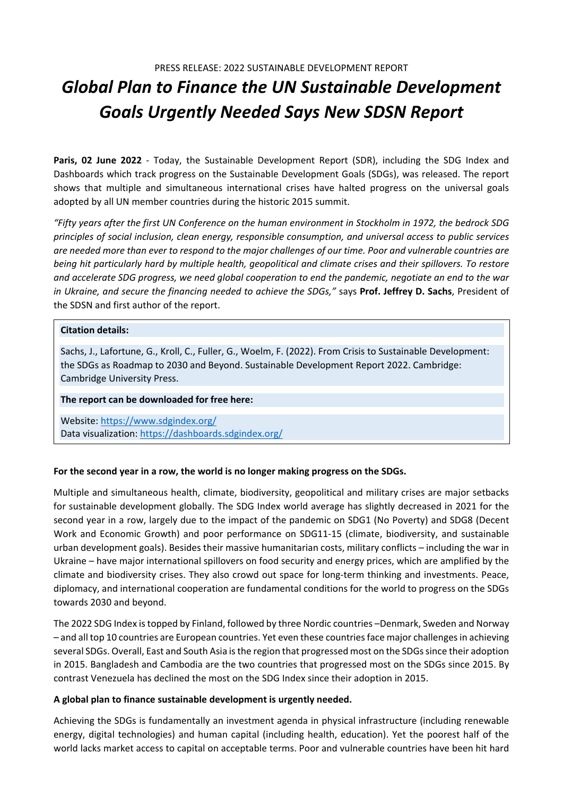# *Global Plan to Finance the UN Sustainable Development Goals Urgently Needed Says New SDSN Report*

**Paris, 02 June 2022** ‐ Today, the Sustainable Development Report (SDR), including the SDG Index and Dashboards which track progress on the Sustainable Development Goals (SDGs), was released. The report shows that multiple and simultaneous international crises have halted progress on the universal goals adopted by all UN member countries during the historic 2015 summit.

"Fifty years after the first UN Conference on the human environment in Stockholm in 1972, the bedrock SDG *principles of social inclusion, clean energy, responsible consumption, and universal access to public services* are needed more than ever to respond to the major challenges of our time. Poor and vulnerable countries are *being hit particularly hard by multiple health, geopolitical and climate crises and their spillovers. To restore* and accelerate SDG progress, we need global cooperation to end the pandemic, negotiate an end to the war *in Ukraine, and secure the financing needed to achieve the SDGs,"* says **Prof. Jeffrey D. Sachs**, President of the SDSN and first author of the report.

## **Citation details:**

Sachs, J., Lafortune, G., Kroll, C., Fuller, G., Woelm, F. (2022). From Crisis to Sustainable Development: the SDGs as Roadmap to 2030 and Beyond. Sustainable Development Report 2022. Cambridge: Cambridge University Press.

#### **The report can be downloaded for free here:**

Website: https://www.sdgindex.org/ Data visualization: https://dashboards.sdgindex.org/

## **For the second year in a row, the world is no longer making progress on the SDGs.**

Multiple and simultaneous health, climate, biodiversity, geopolitical and military crises are major setbacks for sustainable development globally. The SDG Index world average has slightly decreased in 2021 for the second year in a row, largely due to the impact of the pandemic on SDG1 (No Poverty) and SDG8 (Decent Work and Economic Growth) and poor performance on SDG11‐15 (climate, biodiversity, and sustainable urban development goals). Besides their massive humanitarian costs, military conflicts – including the war in Ukraine – have major international spillovers on food security and energy prices, which are amplified by the climate and biodiversity crises. They also crowd out space for long‐term thinking and investments. Peace, diplomacy, and international cooperation are fundamental conditions for the world to progress on the SDGs towards 2030 and beyond.

The 2022 SDG Index istopped by Finland, followed by three Nordic countries –Denmark, Sweden and Norway – and all top 10 countries are European countries. Yet even these countriesface major challengesin achieving several SDGs. Overall, East and South Asia is the region that progressed most on the SDGs since their adoption in 2015. Bangladesh and Cambodia are the two countries that progressed most on the SDGs since 2015. By contrast Venezuela has declined the most on the SDG Index since their adoption in 2015.

## **A global plan to finance sustainable development is urgently needed.**

Achieving the SDGs is fundamentally an investment agenda in physical infrastructure (including renewable energy, digital technologies) and human capital (including health, education). Yet the poorest half of the world lacks market access to capital on acceptable terms. Poor and vulnerable countries have been hit hard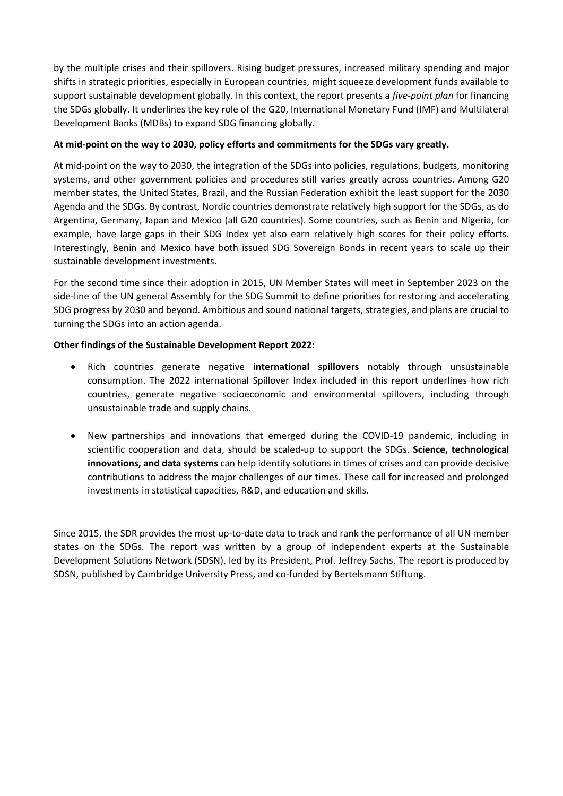by the multiple crises and their spillovers. Rising budget pressures, increased military spending and major shifts in strategic priorities, especially in European countries, might squeeze development funds available to support sustainable development globally. In this context, the report presents a *five‐point plan* for financing the SDGs globally. It underlines the key role of the G20, International Monetary Fund (IMF) and Multilateral Development Banks (MDBs) to expand SDG financing globally.

## **At mid‐point on the way to 2030, policy efforts and commitments for the SDGs vary greatly.**

At mid-point on the way to 2030, the integration of the SDGs into policies, regulations, budgets, monitoring systems, and other government policies and procedures still varies greatly across countries. Among G20 member states, the United States, Brazil, and the Russian Federation exhibit the least support for the 2030 Agenda and the SDGs. By contrast, Nordic countries demonstrate relatively high support for the SDGs, as do Argentina, Germany, Japan and Mexico (all G20 countries). Some countries, such as Benin and Nigeria, for example, have large gaps in their SDG Index yet also earn relatively high scores for their policy efforts. Interestingly, Benin and Mexico have both issued SDG Sovereign Bonds in recent years to scale up their sustainable development investments.

For the second time since their adoption in 2015, UN Member States will meet in September 2023 on the side-line of the UN general Assembly for the SDG Summit to define priorities for restoring and accelerating SDG progress by 2030 and beyond. Ambitious and sound national targets, strategies, and plans are crucial to turning the SDGs into an action agenda.

## **Other findings of the Sustainable Development Report 2022:**

- Rich countries generate negative **international spillovers** notably through unsustainable consumption. The 2022 international Spillover Index included in this report underlines how rich countries, generate negative socioeconomic and environmental spillovers, including through unsustainable trade and supply chains.
- New partnerships and innovations that emerged during the COVID‐19 pandemic, including in scientific cooperation and data, should be scaled‐up to support the SDGs. **Science, technological innovations, and data systems** can help identify solutions in times of crises and can provide decisive contributions to address the major challenges of our times. These call for increased and prolonged investments in statistical capacities, R&D, and education and skills.

Since 2015, the SDR provides the most up‐to‐date data to track and rank the performance of all UN member states on the SDGs. The report was written by a group of independent experts at the Sustainable Development Solutions Network (SDSN), led by its President, Prof. Jeffrey Sachs. The report is produced by SDSN, published by Cambridge University Press, and co-funded by Bertelsmann Stiftung.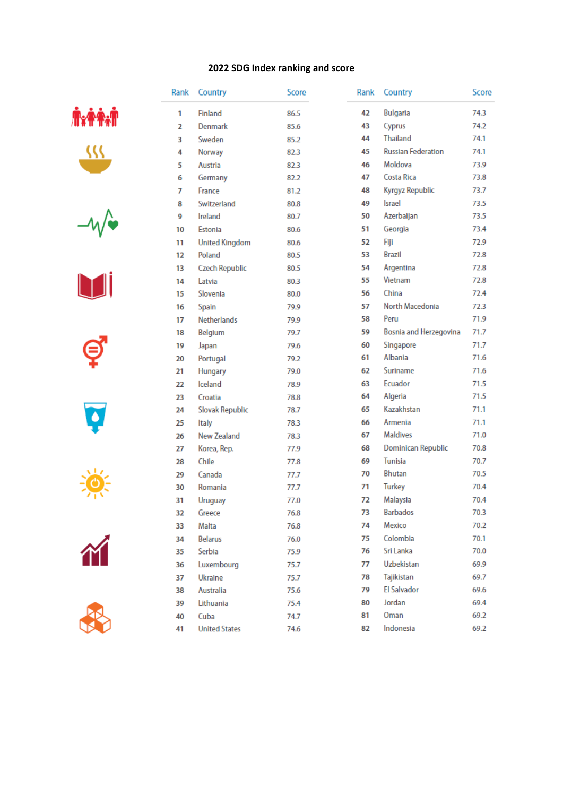## **SDG Index ranking and score**

| Rank | Country               | Score | Rank<br>Country       |                           | Score |
|------|-----------------------|-------|-----------------------|---------------------------|-------|
| 1    | Finland               | 86.5  | 42<br><b>Bulgaria</b> |                           | 74.3  |
| 2    | Denmark               | 85.6  | 43                    | Cyprus                    | 74.2  |
| 3    | Sweden                | 85.2  | 44                    | <b>Thailand</b>           | 74.1  |
| 4    | Norway                | 82.3  | 45                    | <b>Russian Federation</b> | 74.1  |
| 5    | Austria               | 82.3  | 46                    | Moldova                   | 73.9  |
| 6    | Germany               | 82.2  | 47                    | Costa Rica                | 73.8  |
| 7    | France                | 81.2  | 48                    | Kyrgyz Republic           | 73.7  |
| 8    | Switzerland           | 80.8  | 49                    | <b>Israel</b>             | 73.5  |
| 9    | Ireland               | 80.7  | 50                    | Azerbaijan                | 73.5  |
| 10   | Estonia               | 80.6  | 51                    | Georgia                   | 73.4  |
| 11   | <b>United Kingdom</b> | 80.6  | 52                    | Fiji                      | 72.9  |
| 12   | Poland                | 80.5  | 53                    | <b>Brazil</b>             | 72.8  |
| 13   | <b>Czech Republic</b> | 80.5  | 54                    | Argentina                 | 72.8  |
| 14   | Latvia                | 80.3  | 55                    | Vietnam                   | 72.8  |
| 15   | Slovenia              | 80.0  | 56                    | China                     | 72.4  |
| 16   | Spain                 | 79.9  | 57                    | North Macedonia           | 72.3  |
| 17   | <b>Netherlands</b>    | 79.9  | 58                    | Peru                      | 71.9  |
| 18   | <b>Belgium</b>        | 79.7  | 59                    | Bosnia and Herzegovina    | 71.7  |
| 19   | Japan                 | 79.6  | 60                    | Singapore                 | 71.7  |
| 20   | Portugal              | 79.2  | 61                    | Albania                   | 71.6  |
| 21   | Hungary               | 79.0  | 62                    | Suriname                  | 71.6  |
| 22   | <b>Iceland</b>        | 78.9  | 63                    | Ecuador                   | 71.5  |
| 23   | Croatia               | 78.8  | 64                    | Algeria                   | 71.5  |
| 24   | Slovak Republic       | 78.7  | 65                    | Kazakhstan                | 71.1  |
| 25   | <b>Italy</b>          | 78.3  | 66                    | Armenia                   | 71.1  |
| 26   | <b>New Zealand</b>    | 78.3  | 67                    | <b>Maldives</b>           | 71.0  |
| 27   | Korea, Rep.           | 77.9  | 68                    | Dominican Republic        | 70.8  |
| 28   | Chile                 | 77.8  | 69                    | Tunisia                   | 70.7  |
| 29   | Canada                | 77.7  | 70                    | Bhutan                    | 70.5  |
| 30   | Romania               | 77.7  | 71                    | <b>Turkey</b>             | 70.4  |
| 31   | <b>Uruguay</b>        | 77.0  | 72                    | Malaysia                  | 70.4  |
| 32   | Greece                | 76.8  | 73                    | <b>Barbados</b>           | 70.3  |
| 33   | Malta                 | 76.8  | 74                    | Mexico                    | 70.2  |
| 34   | <b>Belarus</b>        | 76.0  | 75                    | Colombia                  | 70.1  |
| 35   | Serbia                | 75.9  | 76                    | Sri Lanka                 | 70.0  |
| 36   | Luxembourg            | 75.7  | 77                    | Uzbekistan                | 69.9  |
| 37   | Ukraine               | 75.7  | 78                    | Tajikistan                | 69.7  |
| 38   | Australia             | 75.6  | 79                    | <b>El Salvador</b>        | 69.6  |
| 39   | Lithuania             | 75.4  | 80                    | Jordan                    | 69.4  |
| 40   | Cuba                  | 74.7  | 81                    | Oman                      | 69.2  |
| 41   | <b>United States</b>  | 74.6  | 82                    | Indonesia                 | 69.2  |
|      |                       |       |                       |                           |       |















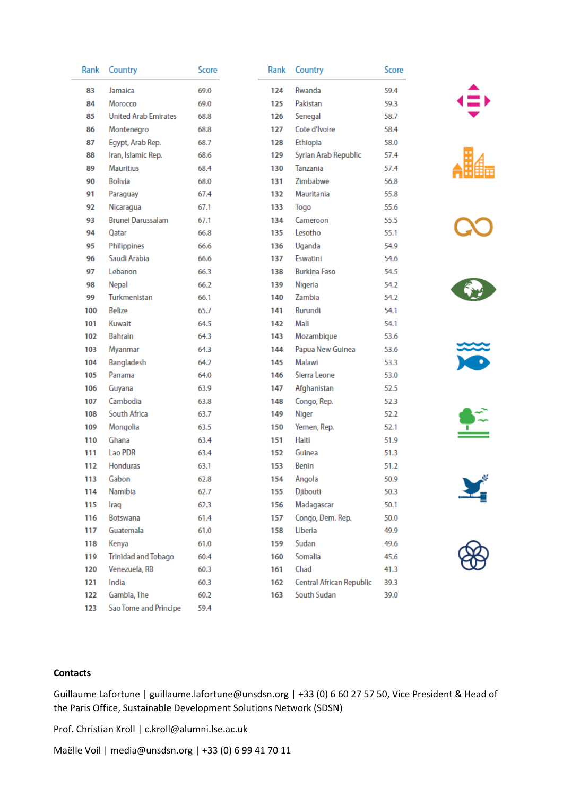| Rank | Country                     | Score | Rank | Country                  | Score |    |
|------|-----------------------------|-------|------|--------------------------|-------|----|
| 83   | Jamaica                     | 69.0  | 124  | Rwanda                   | 59.4  |    |
| 84   | Morocco                     | 69.0  | 125  | Pakistan                 | 59.3  |    |
| 85   | <b>United Arab Emirates</b> | 68.8  | 126  | Senegal                  | 58.7  |    |
| 86   | Montenegro                  | 68.8  | 127  | Cote d'Ivoire            | 58.4  |    |
| 87   | Egypt, Arab Rep.            | 68.7  | 128  | Ethiopia                 | 58.0  |    |
| 88   | Iran, Islamic Rep.          | 68.6  | 129  | Syrian Arab Republic     | 57.4  |    |
| 89   | <b>Mauritius</b>            | 68.4  | 130  | Tanzania                 | 57.4  | Ē  |
| 90   | <b>Bolivia</b>              | 68.0  | 131  | Zimbabwe                 | 56.8  |    |
| 91   | Paraguay                    | 67.4  | 132  | Mauritania               | 55.8  |    |
| 92   | Nicaragua                   | 67.1  | 133  | Togo                     | 55.6  |    |
| 93   | <b>Brunei Darussalam</b>    | 67.1  | 134  | Cameroon                 | 55.5  |    |
| 94   | Qatar                       | 66.8  | 135  | Lesotho                  | 55.1  |    |
| 95   | Philippines                 | 66.6  | 136  | Uganda                   | 54.9  |    |
| 96   | Saudi Arabia                | 66.6  | 137  | Eswatini                 | 54.6  |    |
| 97   | Lebanon                     | 66.3  | 138  | <b>Burkina Faso</b>      | 54.5  |    |
| 98   | Nepal                       | 66.2  | 139  | Nigeria                  | 54.2  | \$ |
| 99   | Turkmenistan                | 66.1  | 140  | Zambia                   | 54.2  |    |
| 100  | <b>Belize</b>               | 65.7  | 141  | Burundi                  | 54.1  |    |
| 101  | Kuwait                      | 64.5  | 142  | Mali                     | 54.1  |    |
| 102  | Bahrain                     | 64.3  | 143  | Mozambique               | 53.6  |    |
| 103  | Myanmar                     | 64.3  | 144  | Papua New Guinea         | 53.6  |    |
| 104  | Bangladesh                  | 64.2  | 145  | Malawi                   | 53.3  |    |
| 105  | Panama                      | 64.0  | 146  | Sierra Leone             | 53.0  |    |
| 106  | Guyana                      | 63.9  | 147  | Afghanistan              | 52.5  |    |
| 107  | Cambodia                    | 63.8  | 148  | Congo, Rep.              | 52.3  |    |
| 108  | South Africa                | 63.7  | 149  | Niger                    | 52.2  |    |
| 109  | Mongolia                    | 63.5  | 150  | Yemen, Rep.              | 52.1  | т  |
| 110  | Ghana                       | 63.4  | 151  | Haiti                    | 51.9  |    |
| 111  | Lao PDR                     | 63.4  | 152  | Guinea                   | 51.3  |    |
| 112  | Honduras                    | 63.1  | 153  | <b>Benin</b>             | 51.2  |    |
| 113  | Gabon                       | 62.8  | 154  | Angola                   | 50.9  |    |
| 114  | Namibia                     | 62.7  | 155  | Djibouti                 | 50.3  | H  |
| 115  | Iraq                        | 62.3  | 156  | Madagascar               | 50.1  |    |
| 116  | <b>Botswana</b>             | 61.4  | 157  | Congo, Dem. Rep.         | 50.0  |    |
| 117  | Guatemala                   | 61.0  | 158  | Liberia                  | 49.9  |    |
| 118  | Kenya                       | 61.0  | 159  | Sudan                    | 49.6  |    |
| 119  | <b>Trinidad and Tobago</b>  | 60.4  | 160  | Somalia                  | 45.6  |    |
| 120  | Venezuela, RB               | 60.3  | 161  | Chad                     | 41.3  |    |
| 121  | India                       | 60.3  | 162  | Central African Republic | 39.3  |    |
| 122  | Gambia, The                 | 60.2  | 163  | South Sudan              | 39.0  |    |
| 123  | Sao Tome and Principe       | 59.4  |      |                          |       |    |

















## **Contacts**

Guillaume Lafortune | guillaume.lafortune@unsdsn.org | +33 (0) 6 60 27 57 50, Vice President & Head of the Paris Office, Sustainable Development Solutions Network (SDSN)

Prof. Christian Kroll | c.kroll@alumni.lse.ac.uk

Maëlle Voil | media@unsdsn.org | +33 (0) 6 99 41 70 11